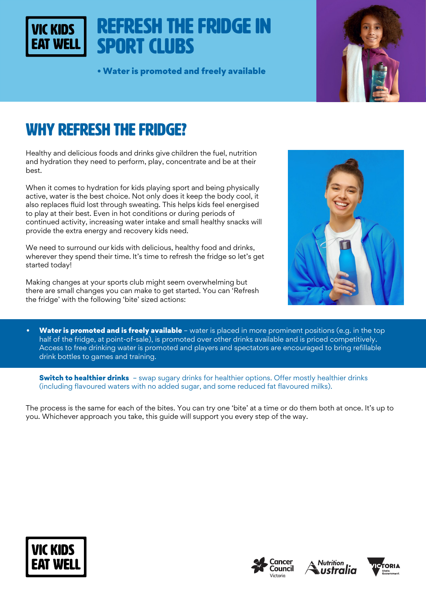# Refresh the fridge in Sport Clubs

• Water is promoted and freely available



# WHY REFRESH THE FRIDGE?

VIC KIDS

Healthy and delicious foods and drinks give children the fuel, nutrition and hydration they need to perform, play, concentrate and be at their best.

When it comes to hydration for kids playing sport and being physically active, water is the best choice. Not only does it keep the body cool, it also replaces fluid lost through sweating. This helps kids feel energised to play at their best. Even in hot conditions or during periods of continued activity, increasing water intake and small healthy snacks will provide the extra energy and recovery kids need.

We need to surround our kids with delicious, healthy food and drinks, wherever they spend their time. It's time to refresh the fridge so let's get started today!

Making changes at your sports club might seem overwhelming but there are small changes you can make to get started. You can 'Refresh the fridge' with the following 'bite' sized actions:



• Water is promoted and is freely available – water is placed in more prominent positions (e.g. in the top half of the fridge, at point-of-sale), is promoted over other drinks available and is priced competitively. Access to free drinking water is promoted and players and spectators are encouraged to bring refillable drink bottles to games and training.

**Switch to healthier drinks** - swap sugary drinks for healthier options. Offer mostly healthier drinks (including flavoured waters with no added sugar, and some reduced fat flavoured milks).

The process is the same for each of the bites. You can try one 'bite' at a time or do them both at once. It's up to you. Whichever approach you take, this guide will support you every step of the way.







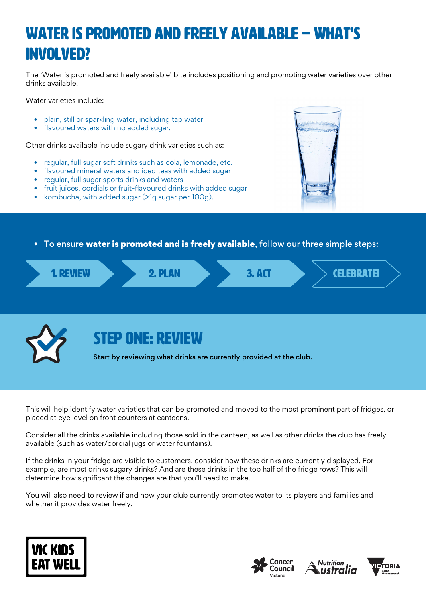# WAter is promoted and freely available – WHAT'S INVOLVED?

The 'Water is promoted and freely available' bite includes positioning and promoting water varieties over other drinks available.

Water varieties include:

- plain, still or sparkling water, including tap water
- flavoured waters with no added sugar.

Other drinks available include sugary drink varieties such as:

- regular, full sugar soft drinks such as cola, lemonade, etc.
- flavoured mineral waters and iced teas with added sugar
- regular, full sugar sports drinks and waters
- fruit juices, cordials or fruit-flavoured drinks with added sugar
- kombucha, with added sugar (>1g sugar per 100g).



To ensure water is promoted and is freely available, follow our three simple steps:





## STEP ONE: REVIEW

Start by reviewing what drinks are currently provided at the club.

This will help identify water varieties that can be promoted and moved to the most prominent part of fridges, or placed at eye level on front counters at canteens.

Consider all the drinks available including those sold in the canteen, as well as other drinks the club has freely available (such as water/cordial jugs or water fountains).

If the drinks in your fridge are visible to customers, consider how these drinks are currently displayed. For example, are most drinks sugary drinks? And are these drinks in the top half of the fridge rows? This will determine how significant the changes are that you'll need to make.

You will also need to review if and how your club currently promotes water to its players and families and whether it provides water freely.







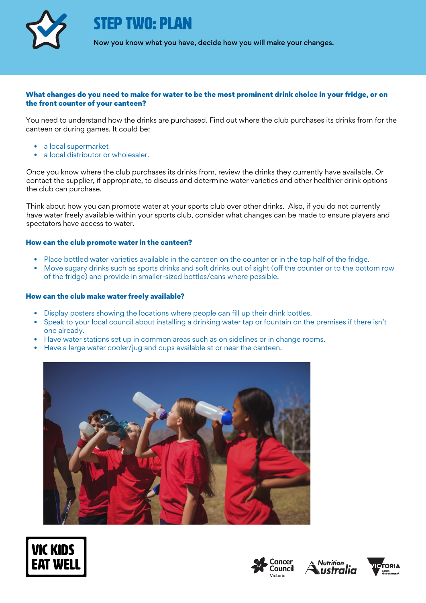

FP TWO: PI AN

Now you know what you have, decide how you will make your changes.

#### What changes do you need to make for water to be the most prominent drink choice in your fridge, or on the front counter of your canteen?

You need to understand how the drinks are purchased. Find out where the club purchases its drinks from for the canteen or during games. It could be:

- a local supermarket
- a local distributor or wholesaler.

Once you know where the club purchases its drinks from, review the drinks they currently have available. Or contact the supplier, if appropriate, to discuss and determine water varieties and other healthier drink options the club can purchase.

Think about how you can promote water at your sports club over other drinks. Also, if you do not currently have water freely available within your sports club, consider what changes can be made to ensure players and spectators have access to water.

#### How can the club promote water in the canteen?

- Place bottled water varieties available in the canteen on the counter or in the top half of the fridge.
- Move sugary drinks such as sports drinks and soft drinks out of sight (off the counter or to the bottom row of the fridge) and provide in smaller-sized bottles/cans where possible.

#### How can the club make water freely available?

- Display posters showing the locations where people can fill up their drink bottles.
- Speak to your local council about installing a drinking water tap or fountain on the premises if there isn't one already.
- Have water stations set up in common areas such as on sidelines or in change rooms.
- Have a large water cooler/jug and cups available at or near the canteen.









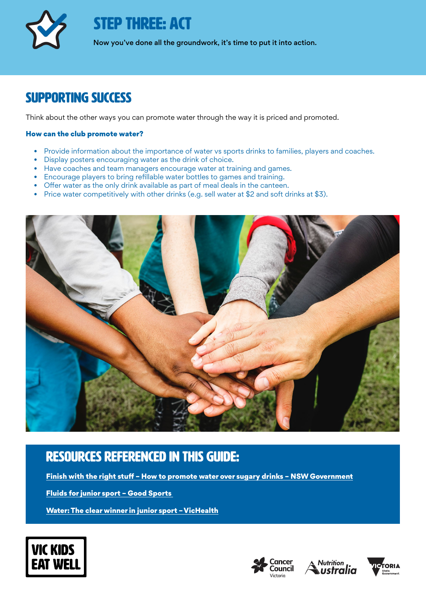

STEP THREE: ACT

Now you've done all the groundwork, it's time to put it into action.

## Supporting success

Think about the other ways you can promote water through the way it is priced and promoted.

### How can the club promote water?

- Provide information about the importance of water vs sports drinks to families, players and coaches.
- Display posters encouraging water as the drink of choice.
- Have coaches and team managers encourage water at training and games.
- Encourage players to bring refillable water bottles to games and training.
- Offer water as the only drink available as part of meal deals in the canteen.
- Price water competitively with other drinks (e.g. sell water at \$2 and soft drinks at \$3).



## rEsources referenced in this guide:

[Finish with the right stuff – How to promote water over sugary drinks – NSW Government](https://rightstuff.health.nsw.gov.au/wp-content/uploads/2020/06/promoting-water-over-sugary-drinks.pdf)

[Fluids for junior sport – Good Sports](https://goodsports.com.au/resource-documents/fluids-and-hydration-for-juniors/) 

[Water: The clear winner in junior sport – VicHealth](https://www.vichealth.vic.gov.au/media-and-resources/publications/water-in-junior-sport)